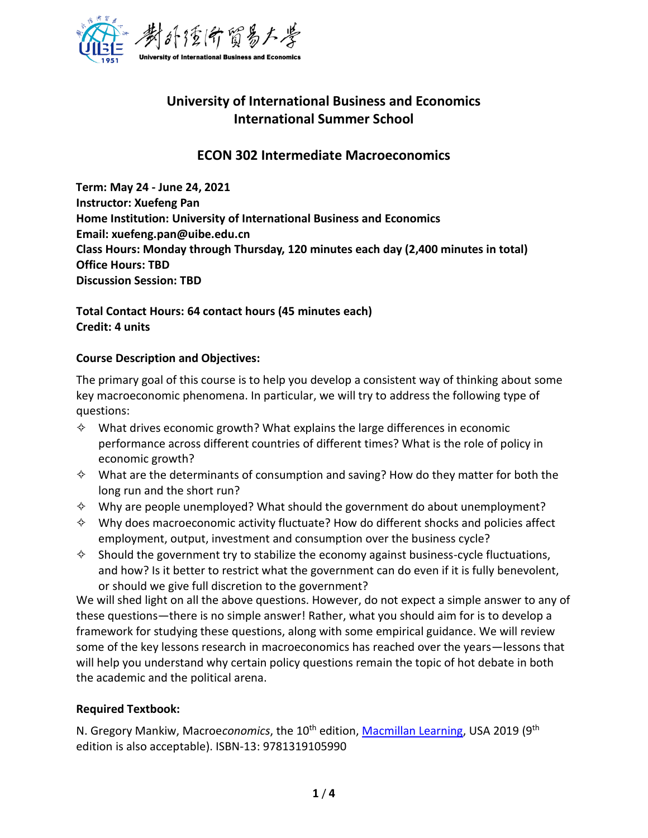

# **University of International Business and Economics International Summer School**

# **ECON 302 Intermediate Macroeconomics**

**Term: May 24 - June 24, 2021 Instructor: Xuefeng Pan Home Institution: University of International Business and Economics Email: xuefeng.pan@uibe.edu.cn Class Hours: Monday through Thursday, 120 minutes each day (2,400 minutes in total) Office Hours: TBD Discussion Session: TBD** 

**Total Contact Hours: 64 contact hours (45 minutes each) Credit: 4 units**

#### **Course Description and Objectives:**

The primary goal of this course is to help you develop a consistent way of thinking about some key macroeconomic phenomena. In particular, we will try to address the following type of questions:

- $\diamond$  What drives economic growth? What explains the large differences in economic performance across different countries of different times? What is the role of policy in economic growth?
- $\diamond$  What are the determinants of consumption and saving? How do they matter for both the long run and the short run?
- $\diamond$  Why are people unemployed? What should the government do about unemployment?
- $\diamond$  Why does macroeconomic activity fluctuate? How do different shocks and policies affect employment, output, investment and consumption over the business cycle?
- $\diamond$  Should the government try to stabilize the economy against business-cycle fluctuations, and how? Is it better to restrict what the government can do even if it is fully benevolent, or should we give full discretion to the government?

We will shed light on all the above questions. However, do not expect a simple answer to any of these questions—there is no simple answer! Rather, what you should aim for is to develop a framework for studying these questions, along with some empirical guidance. We will review some of the key lessons research in macroeconomics has reached over the years—lessons that will help you understand why certain policy questions remain the topic of hot debate in both the academic and the political arena.

# **Required Textbook:**

N. Gregory Mankiw, Macroe*conomics*, the 10<sup>th</sup> edition, <u>Macmillan Learning</u>, USA 2019 (9<sup>th</sup> edition is also acceptable). ISBN-13: 9781319105990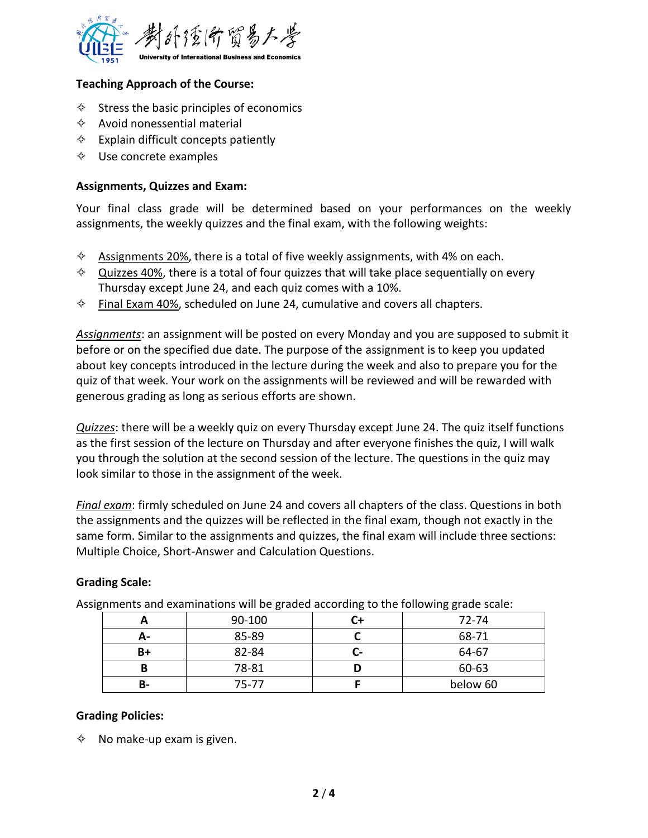

#### **Teaching Approach of the Course:**

- $\diamond$  Stress the basic principles of economics
- $\Leftrightarrow$  Avoid nonessential material
- $\Leftrightarrow$  Explain difficult concepts patiently
- $\diamond$  Use concrete examples

#### **Assignments, Quizzes and Exam:**

Your final class grade will be determined based on your performances on the weekly assignments, the weekly quizzes and the final exam, with the following weights:

- $\diamond$  Assignments 20%, there is a total of five weekly assignments, with 4% on each.
- $\diamond$  Quizzes 40%, there is a total of four quizzes that will take place sequentially on every Thursday except June 24, and each quiz comes with a 10%.
- $\diamond$  Final Exam 40%, scheduled on June 24, cumulative and covers all chapters.

*Assignments*: an assignment will be posted on every Monday and you are supposed to submit it before or on the specified due date. The purpose of the assignment is to keep you updated about key concepts introduced in the lecture during the week and also to prepare you for the quiz of that week. Your work on the assignments will be reviewed and will be rewarded with generous grading as long as serious efforts are shown.

*Quizzes*: there will be a weekly quiz on every Thursday except June 24. The quiz itself functions as the first session of the lecture on Thursday and after everyone finishes the quiz, I will walk you through the solution at the second session of the lecture. The questions in the quiz may look similar to those in the assignment of the week.

*Final exam*: firmly scheduled on June 24 and covers all chapters of the class. Questions in both the assignments and the quizzes will be reflected in the final exam, though not exactly in the same form. Similar to the assignments and quizzes, the final exam will include three sections: Multiple Choice, Short-Answer and Calculation Questions.

#### **Grading Scale:**

Assignments and examinations will be graded according to the following grade scale:

|           | 90-100    |    | 72-74    |
|-----------|-----------|----|----------|
| А-        | 85-89     |    | 68-71    |
| B+        | 82-84     | -- | 64-67    |
|           | 78-81     |    | 60-63    |
| <b>B-</b> | $75 - 77$ |    | below 60 |

#### **Grading Policies:**

 $\diamond$  No make-up exam is given.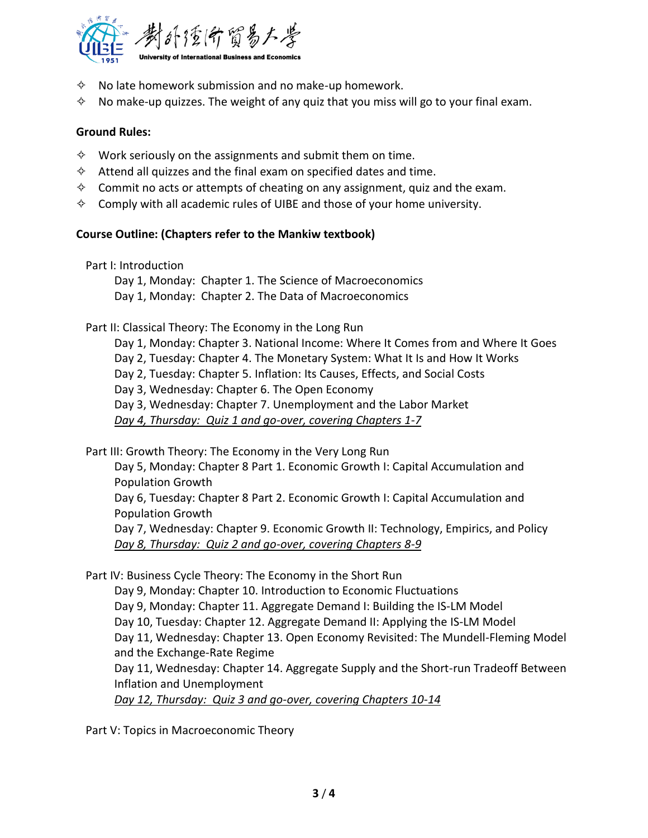

- $\diamond$  No late homework submission and no make-up homework.
- $\diamond$  No make-up quizzes. The weight of any quiz that you miss will go to your final exam.

#### **Ground Rules:**

- $\diamond$  Work seriously on the assignments and submit them on time.
- $\diamond$  Attend all quizzes and the final exam on specified dates and time.
- $\diamond$  Commit no acts or attempts of cheating on any assignment, quiz and the exam.
- $\diamond$  Comply with all academic rules of UIBE and those of your home university.

#### **Course Outline: (Chapters refer to the Mankiw textbook)**

Part I: Introduction

Day 1, Monday: Chapter 1. The Science of Macroeconomics Day 1, Monday: Chapter 2. The Data of Macroeconomics

#### Part II: Classical Theory: The Economy in the Long Run

Day 1, Monday: Chapter 3. National Income: Where It Comes from and Where It Goes Day 2, Tuesday: Chapter 4. The Monetary System: What It Is and How It Works Day 2, Tuesday: Chapter 5. Inflation: Its Causes, Effects, and Social Costs Day 3, Wednesday: Chapter 6. The Open Economy Day 3, Wednesday: Chapter 7. Unemployment and the Labor Market *Day 4, Thursday: Quiz 1 and go-over, covering Chapters 1-7*

Part III: Growth Theory: The Economy in the Very Long Run

Day 5, Monday: Chapter 8 Part 1. Economic Growth I: Capital Accumulation and Population Growth Day 6, Tuesday: Chapter 8 Part 2. Economic Growth I: Capital Accumulation and Population Growth Day 7, Wednesday: Chapter 9. Economic Growth II: Technology, Empirics, and Policy *Day 8, Thursday: Quiz 2 and go-over, covering Chapters 8-9*

Part IV: Business Cycle Theory: The Economy in the Short Run

Day 9, Monday: Chapter 10. Introduction to Economic Fluctuations Day 9, Monday: Chapter 11. Aggregate Demand I: Building the IS-LM Model Day 10, Tuesday: Chapter 12. Aggregate Demand II: Applying the IS-LM Model Day 11, Wednesday: Chapter 13. Open Economy Revisited: The Mundell-Fleming Model and the Exchange-Rate Regime Day 11, Wednesday: Chapter 14. Aggregate Supply and the Short-run Tradeoff Between Inflation and Unemployment *Day 12, Thursday: Quiz 3 and go-over, covering Chapters 10-14*

Part V: Topics in Macroeconomic Theory